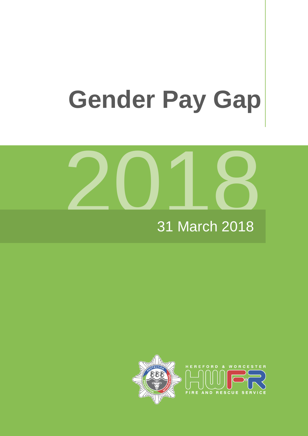# **Gender Pay Gap**



#### 31 March 201 8

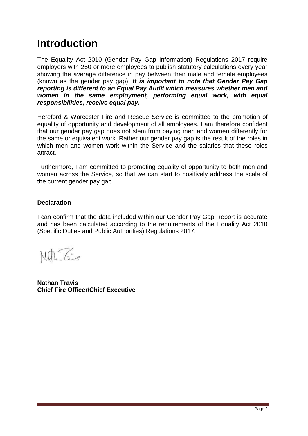# **Introduction**

The Equality Act 2010 (Gender Pay Gap Information) Regulations 2017 require employers with 250 or more employees to publish statutory calculations every year showing the average difference in pay between their male and female employees (known as the gender pay gap). *It is important to note that Gender Pay Gap reporting is different to an Equal Pay Audit which measures whether men and women in the same employment, performing equal work, with equal responsibilities, receive equal pay.*

Hereford & Worcester Fire and Rescue Service is committed to the promotion of equality of opportunity and development of all employees. I am therefore confident that our gender pay gap does not stem from paying men and women differently for the same or equivalent work. Rather our gender pay gap is the result of the roles in which men and women work within the Service and the salaries that these roles attract.

Furthermore, I am committed to promoting equality of opportunity to both men and women across the Service, so that we can start to positively address the scale of the current gender pay gap.

#### **Declaration**

I can confirm that the data included within our Gender Pay Gap Report is accurate and has been calculated according to the requirements of the Equality Act 2010 (Specific Duties and Public Authorities) Regulations 2017.

Nelle Geo

**Nathan Travis Chief Fire Officer/Chief Executive**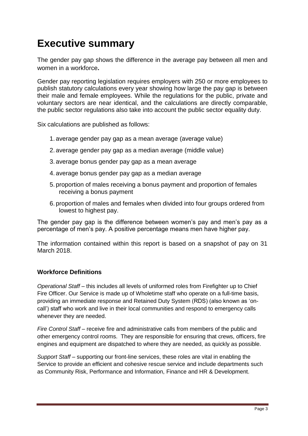# **Executive summary**

The gender pay gap shows the difference in the average pay between all men and women in a workforce**.** 

Gender pay reporting legislation requires employers with 250 or more employees to publish statutory calculations every year showing how large the pay gap is between their male and female employees. While the regulations for the public, private and voluntary sectors are near identical, and the calculations are directly comparable, the public sector regulations also take into account the public sector equality duty.

Six calculations are published as follows:

- 1. average gender pay gap as a mean average (average value)
- 2. average gender pay gap as a median average (middle value)
- 3. average bonus gender pay gap as a mean average
- 4. average bonus gender pay gap as a median average
- 5. proportion of males receiving a bonus payment and proportion of females receiving a bonus payment
- 6. proportion of males and females when divided into four groups ordered from lowest to highest pay.

The gender pay gap is the difference between women's pay and men's pay as a percentage of men's pay. A positive percentage means men have higher pay.

The information contained within this report is based on a snapshot of pay on 31 March 2018.

#### **Workforce Definitions**

*Operational Staff* – this includes all levels of uniformed roles from Firefighter up to Chief Fire Officer. Our Service is made up of Wholetime staff who operate on a full-time basis, providing an immediate response and Retained Duty System (RDS) (also known as 'oncall') staff who work and live in their local communities and respond to emergency calls whenever they are needed.

*Fire Control Staff* – receive fire and administrative calls from members of the public and other emergency control rooms. They are responsible for ensuring that crews, officers, fire engines and equipment are dispatched to where they are needed, as quickly as possible.

*Support Staff* – supporting our front-line services, these roles are vital in enabling the Service to provide an efficient and cohesive rescue service and include departments such as Community Risk, Performance and Information, Finance and HR & Development.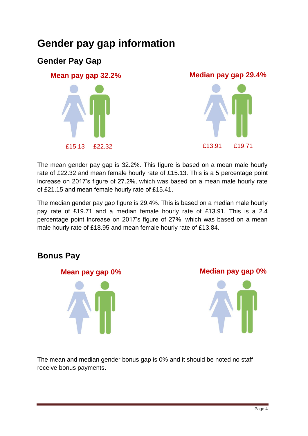# **Gender pay gap information**

## **Gender Pay Gap**



The mean gender pay gap is 32.2%. This figure is based on a mean male hourly rate of £22.32 and mean female hourly rate of £15.13. This is a 5 percentage point increase on 2017's figure of 27.2%, which was based on a mean male hourly rate of £21.15 and mean female hourly rate of £15.41.

The median gender pay gap figure is 29.4%. This is based on a median male hourly pay rate of £19.71 and a median female hourly rate of £13.91. This is a 2.4 percentage point increase on 2017's figure of 27%, which was based on a mean male hourly rate of £18.95 and mean female hourly rate of £13.84.

#### **Bonus Pay**



The mean and median gender bonus gap is 0% and it should be noted no staff receive bonus payments.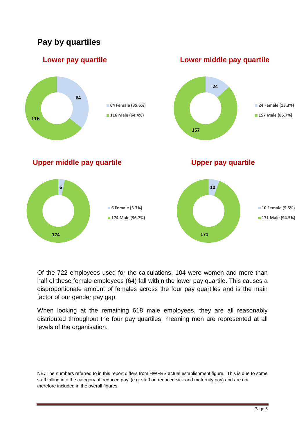## **Pay by quartiles**



Of the 722 employees used for the calculations, 104 were women and more than half of these female employees (64) fall within the lower pay quartile. This causes a disproportionate amount of females across the four pay quartiles and is the main factor of our gender pay gap.

When looking at the remaining 618 male employees, they are all reasonably distributed throughout the four pay quartiles, meaning men are represented at all levels of the organisation.

NB**:** The numbers referred to in this report differs from HWFRS actual establishment figure. This is due to some staff falling into the category of 'reduced pay' (e.g. staff on reduced sick and maternity pay) and are not therefore included in the overall figures.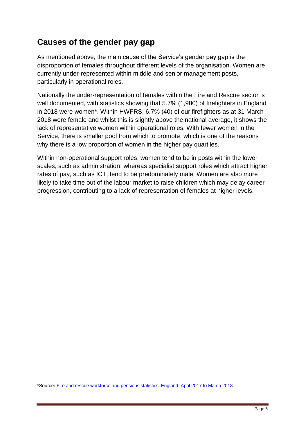### **Causes of the gender pay gap**

As mentioned above, the main cause of the Service's gender pay gap is the disproportion of females throughout different levels of the organisation. Women are currently under-represented within middle and senior management posts, particularly in operational roles.

Nationally the under-representation of females within the Fire and Rescue sector is well documented, with statistics showing that 5.7% (1,980) of firefighters in England in 2018 were women\*. Within HWFRS, 6.7% (40) of our firefighters as at 31 March 2018 were female and whilst this is slightly above the national average, it shows the lack of representative women within operational roles. With fewer women in the Service, there is smaller pool from which to promote, which is one of the reasons why there is a low proportion of women in the higher pay quartiles.

Within non-operational support roles, women tend to be in posts within the lower scales, such as administration, whereas specialist support roles which attract higher rates of pay, such as ICT, tend to be predominately male. Women are also more likely to take time out of the labour market to raise children which may delay career progression, contributing to a lack of representation of females at higher levels.

\*Source**:** [Fire and rescue workforce and pensions statistics: England, April 2017 to March 2018](https://assets.publishing.service.gov.uk/government/uploads/system/uploads/attachment_data/file/750081/fire-rescue-workforce-pensions-1718-hosb2218.pdf)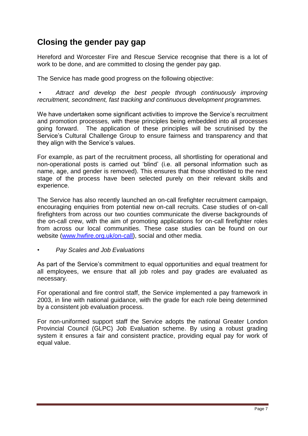### **Closing the gender pay gap**

Hereford and Worcester Fire and Rescue Service recognise that there is a lot of work to be done, and are committed to closing the gender pay gap.

The Service has made good progress on the following objective:

*• Attract and develop the best people through continuously improving recruitment, secondment, fast tracking and continuous development programmes.*

We have undertaken some significant activities to improve the Service's recruitment and promotion processes, with these principles being embedded into all processes going forward. The application of these principles will be scrutinised by the Service's Cultural Challenge Group to ensure fairness and transparency and that they align with the Service's values.

For example, as part of the recruitment process, all shortlisting for operational and non-operational posts is carried out 'blind' (i.e. all personal information such as name, age, and gender is removed). This ensures that those shortlisted to the next stage of the process have been selected purely on their relevant skills and experience.

The Service has also recently launched an on-call firefighter recruitment campaign, encouraging enquiries from potential new on-call recruits. Case studies of on-call firefighters from across our two counties communicate the diverse backgrounds of the on-call crew, with the aim of promoting applications for on-call firefighter roles from across our local communities. These case studies can be found on our website [\(www.hwfire.org.uk/on-call\)](http://www.hwfire.org.uk/on-call), social and other media.

*• Pay Scales and Job Evaluations* 

As part of the Service's commitment to equal opportunities and equal treatment for all employees, we ensure that all job roles and pay grades are evaluated as necessary.

For operational and fire control staff, the Service implemented a pay framework in 2003, in line with national guidance, with the grade for each role being determined by a consistent job evaluation process.

For non-uniformed support staff the Service adopts the national Greater London Provincial Council (GLPC) Job Evaluation scheme. By using a robust grading system it ensures a fair and consistent practice, providing equal pay for work of equal value.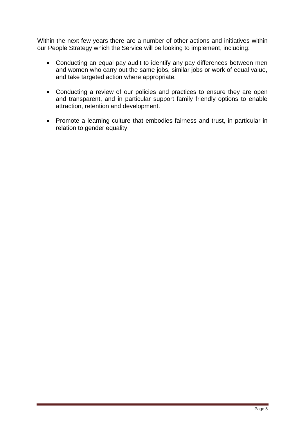Within the next few years there are a number of other actions and initiatives within our People Strategy which the Service will be looking to implement, including:

- Conducting an equal pay audit to identify any pay differences between men and women who carry out the same jobs, similar jobs or work of equal value, and take targeted action where appropriate.
- Conducting a review of our policies and practices to ensure they are open and transparent, and in particular support family friendly options to enable attraction, retention and development.
- Promote a learning culture that embodies fairness and trust, in particular in relation to gender equality.